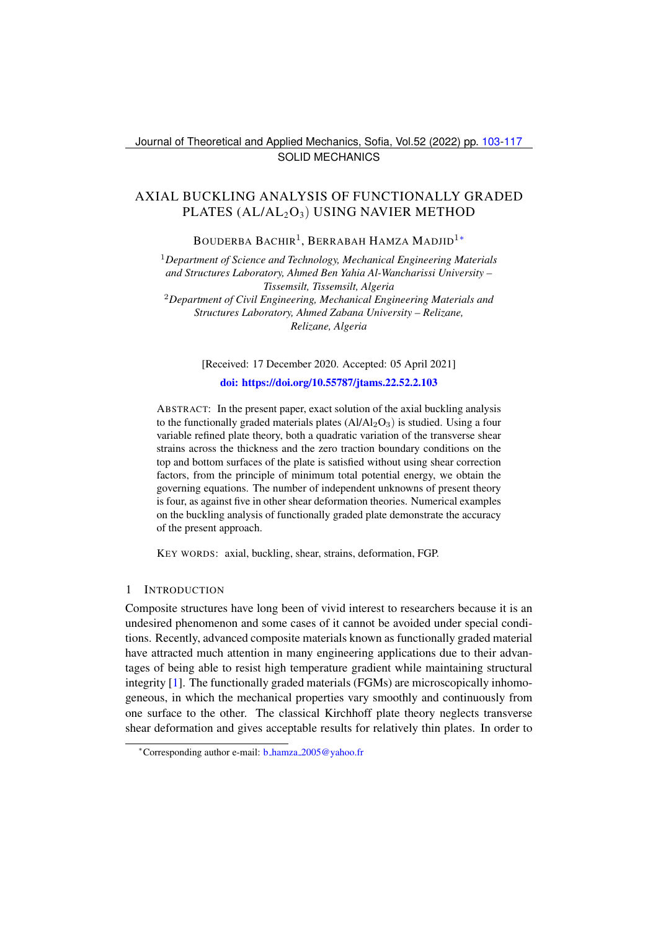Journal of Theoretical and Applied Mechanics, Sofia, Vol.52 (2022) pp. [103-](#page-0-0)[117](#page-14-0) SOLID MECHANICS

# <span id="page-0-0"></span>AXIAL BUCKLING ANALYSIS OF FUNCTIONALLY GRADED PLATES  $(AL/AL<sub>2</sub>O<sub>3</sub>)$  USING NAVIER METHOD

BOUDERBA BACHIR<sup>1</sup>, BERRABAH HAMZA MADJID<sup>1</sup>\*

<sup>1</sup>*Department of Science and Technology, Mechanical Engineering Materials and Structures Laboratory, Ahmed Ben Yahia Al-Wancharissi University – Tissemsilt, Tissemsilt, Algeria* <sup>2</sup>*Department of Civil Engineering, Mechanical Engineering Materials and Structures Laboratory, Ahmed Zabana University – Relizane, Relizane, Algeria*

[Received: 17 December 2020. Accepted: 05 April 2021]

#### [doi: https://doi.org/10.55787/jtams.22.52.2.103](https://doi.org/10.55787/jtams.22.52.2.103)

ABSTRACT: In the present paper, exact solution of the axial buckling analysis to the functionally graded materials plates  $(AI/AI_2O_3)$  is studied. Using a four variable refined plate theory, both a quadratic variation of the transverse shear strains across the thickness and the zero traction boundary conditions on the top and bottom surfaces of the plate is satisfied without using shear correction factors, from the principle of minimum total potential energy, we obtain the governing equations. The number of independent unknowns of present theory is four, as against five in other shear deformation theories. Numerical examples on the buckling analysis of functionally graded plate demonstrate the accuracy of the present approach.

KEY WORDS: axial, buckling, shear, strains, deformation, FGP.

#### 1 INTRODUCTION

Composite structures have long been of vivid interest to researchers because it is an undesired phenomenon and some cases of it cannot be avoided under special conditions. Recently, advanced composite materials known as functionally graded material have attracted much attention in many engineering applications due to their advantages of being able to resist high temperature gradient while maintaining structural integrity [\[1\]](#page-12-0). The functionally graded materials (FGMs) are microscopically inhomogeneous, in which the mechanical properties vary smoothly and continuously from one surface to the other. The classical Kirchhoff plate theory neglects transverse shear deformation and gives acceptable results for relatively thin plates. In order to

<span id="page-0-1"></span><sup>∗</sup>Corresponding author e-mail: b hamza [2005@yahoo.fr](mailto:b_hamza_2005@yahoo.fr)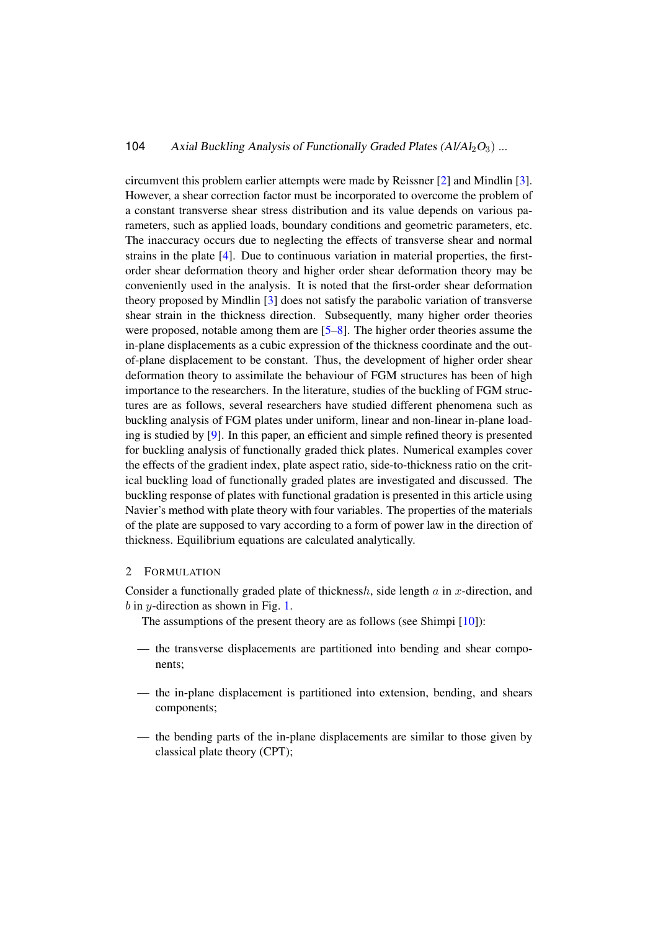circumvent this problem earlier attempts were made by Reissner [\[2\]](#page-12-1) and Mindlin [\[3\]](#page-12-2). However, a shear correction factor must be incorporated to overcome the problem of a constant transverse shear stress distribution and its value depends on various parameters, such as applied loads, boundary conditions and geometric parameters, etc. The inaccuracy occurs due to neglecting the effects of transverse shear and normal strains in the plate [\[4\]](#page-13-0). Due to continuous variation in material properties, the firstorder shear deformation theory and higher order shear deformation theory may be conveniently used in the analysis. It is noted that the first-order shear deformation theory proposed by Mindlin [\[3\]](#page-12-2) does not satisfy the parabolic variation of transverse shear strain in the thickness direction. Subsequently, many higher order theories were proposed, notable among them are [\[5–](#page-13-1)[8\]](#page-13-2). The higher order theories assume the in-plane displacements as a cubic expression of the thickness coordinate and the outof-plane displacement to be constant. Thus, the development of higher order shear deformation theory to assimilate the behaviour of FGM structures has been of high importance to the researchers. In the literature, studies of the buckling of FGM structures are as follows, several researchers have studied different phenomena such as buckling analysis of FGM plates under uniform, linear and non-linear in-plane loading is studied by [\[9\]](#page-13-3). In this paper, an efficient and simple refined theory is presented for buckling analysis of functionally graded thick plates. Numerical examples cover the effects of the gradient index, plate aspect ratio, side-to-thickness ratio on the critical buckling load of functionally graded plates are investigated and discussed. The buckling response of plates with functional gradation is presented in this article using Navier's method with plate theory with four variables. The properties of the materials of the plate are supposed to vary according to a form of power law in the direction of thickness. Equilibrium equations are calculated analytically.

### 2 FORMULATION

Consider a functionally graded plate of thicknessh, side length  $a$  in  $x$ -direction, and  $b$  in  $y$ -direction as shown in Fig. [1.](#page-2-0)

The assumptions of the present theory are as follows (see Shimpi [\[10\]](#page-13-4)):

- the transverse displacements are partitioned into bending and shear components;
- the in-plane displacement is partitioned into extension, bending, and shears components;
- the bending parts of the in-plane displacements are similar to those given by classical plate theory (CPT);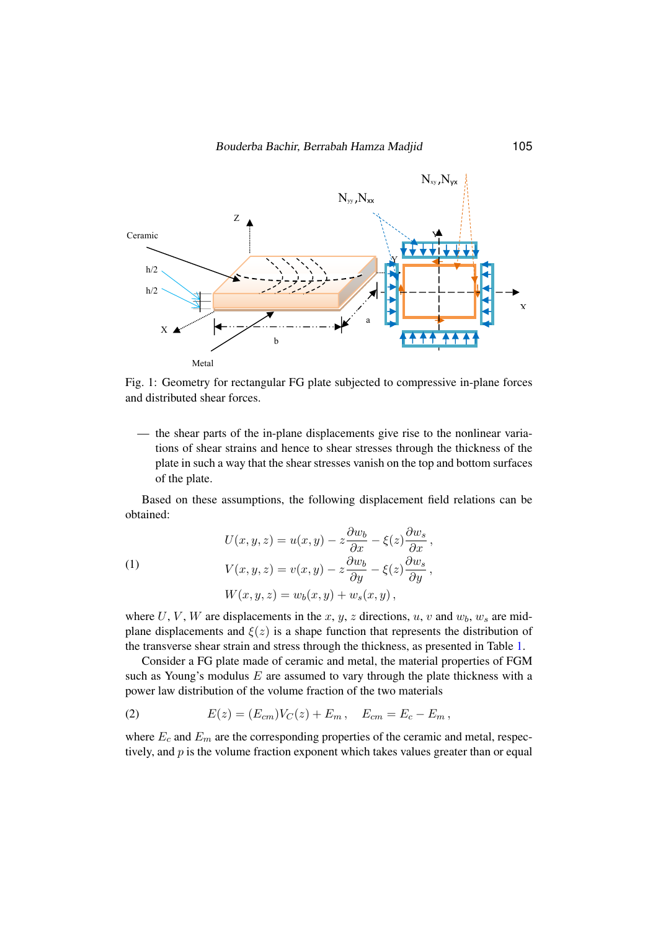<span id="page-2-0"></span>

Fig. 1. Geometry for rectangular FG plate subjected to compressive in-plane forces Fig. 1: Geometry for rectangular FG plate subjected to compressive in-plane forces.<br>and distributed shear forces. and distributed shear forces.

— the shear parts of the in-plane displacements give rise to the nonlinear variations of shear strains and hence to shear stresses through the thickness of the plate in such a way that the shear stresses vanish on the top and bottom surfaces of the plate.

Based on these assumptions, the following displacement field relations can be obtained:

(1)  
\n
$$
U(x, y, z) = u(x, y) - z \frac{\partial w_b}{\partial x} - \xi(z) \frac{\partial w_s}{\partial x},
$$
\n
$$
V(x, y, z) = v(x, y) - z \frac{\partial w_b}{\partial y} - \xi(z) \frac{\partial w_s}{\partial y},
$$
\n
$$
W(x, y, z) = w_b(x, y) + w_s(x, y),
$$

where U, V, W are displacements in the x, y, z directions, u, v and  $w<sub>b</sub>$ ,  $w<sub>s</sub>$  are midplane displacements and  $\xi(z)$  is a shape function that represents the distribution of the transverse shear strain and stress through the thickness, as presented in Table [1.](#page-3-0)

Consider a FG plate made of ceramic and metal, the material properties of FGM such as Young's modulus  $E$  are assumed to vary through the plate thickness with a power law distribution of the volume fraction of the two materials

(2) 
$$
E(z) = (E_{cm})V_C(z) + E_m, \quad E_{cm} = E_c - E_m,
$$

where  $E_c$  and  $E_m$  are the corresponding properties of the ceramic and metal, respectively, and  $p$  is the volume fraction exponent which takes values greater than or equal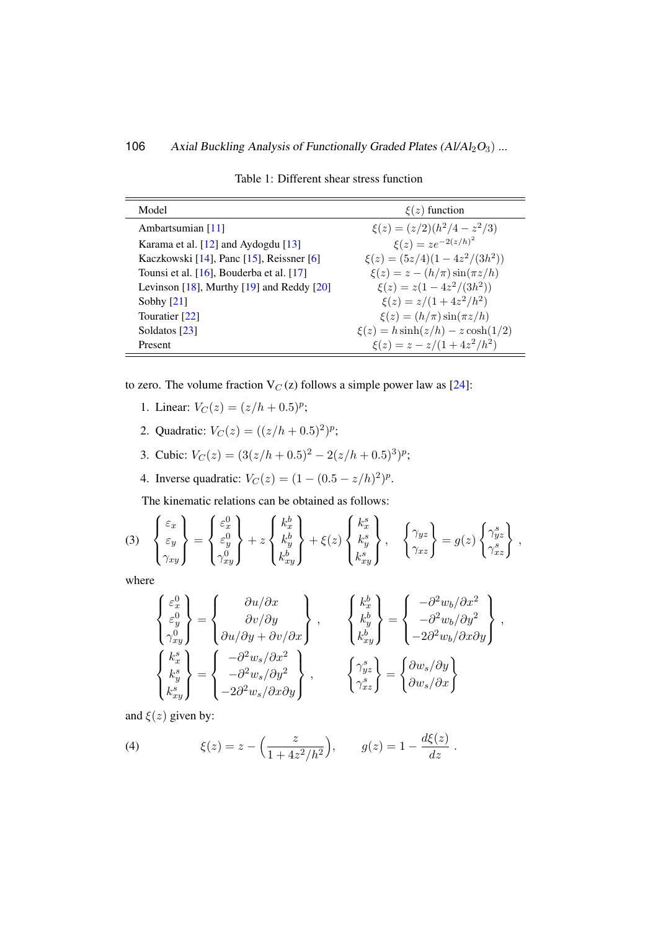<span id="page-3-0"></span>

| Model                                            | $\xi(z)$ function                      |
|--------------------------------------------------|----------------------------------------|
| Ambartsumian [11]                                | $\xi(z) = (z/2)(h^2/4 - z^2/3)$        |
| Karama et al. [12] and Aydogdu [13]              | $\xi(z) = ze^{-2(z/h)^2}$              |
| Kaczkowski [14], Panc [15], Reissner [6]         | $\xi(z) = (5z/4)(1-4z^2/(3h^2))$       |
| Tounsi et al. $[16]$ , Bouderba et al. $[17]$    | $\xi(z) = z - (h/\pi) \sin(\pi z/h)$   |
| Levinson $[18]$ , Murthy $[19]$ and Reddy $[20]$ | $\xi(z) = z(1 - 4z^2/(3h^2))$          |
| Sobhy $[21]$                                     | $\xi(z) = z/(1 + 4z^2/h^2)$            |
| Touratier [22]                                   | $\xi(z) = (h/\pi) \sin(\pi z/h)$       |
| Soldatos [23]                                    | $\xi(z) = h \sinh(z/h) - z \cosh(1/2)$ |
| Present                                          | $\xi(z) = z - z/(1 + 4z^2/h^2)$        |

Table 1: Different shear stress function

to zero. The volume fraction  $V_C(z)$  follows a simple power law as [\[24\]](#page-14-2):

- 1. Linear:  $V_C(z) = (z/h + 0.5)^p$ ;
- 2. Quadratic:  $V_C(z) = ((z/h + 0.5)^2)^p;$
- 3. Cubic:  $V_C(z) = (3(z/h + 0.5)^2 2(z/h + 0.5)^3)^p$ ;
- 4. Inverse quadratic:  $V_C(z) = (1 (0.5 z/h)^2)^p$ .

The kinematic relations can be obtained as follows:

<span id="page-3-1"></span>(3) 
$$
\begin{Bmatrix} \varepsilon_x \\ \varepsilon_y \\ \gamma_{xy} \end{Bmatrix} = \begin{Bmatrix} \varepsilon_x^0 \\ \varepsilon_y^0 \\ \gamma_{xy}^0 \end{Bmatrix} + z \begin{Bmatrix} k_x^b \\ k_y^b \\ k_{xy}^b \end{Bmatrix} + \xi(z) \begin{Bmatrix} k_x^s \\ k_y^s \\ k_{xy}^s \end{Bmatrix}, \quad \begin{Bmatrix} \gamma_{yz} \\ \gamma_{xz} \\ \gamma_{xz} \end{Bmatrix} = g(z) \begin{Bmatrix} \gamma_{yz}^s \\ \gamma_{xz}^s \end{Bmatrix},
$$

where

$$
\begin{Bmatrix}\n\varepsilon_{x}^{0} \\
\varepsilon_{y}^{0} \\
\gamma_{xy}^{0}\n\end{Bmatrix} = \begin{Bmatrix}\n\frac{\partial u}{\partial x} \\
\frac{\partial v}{\partial y} \\
\frac{\partial u}{\partial y} + \frac{\partial v}{\partial x}\n\end{Bmatrix}, \qquad \begin{Bmatrix}\nk_{x}^{b} \\
k_{y}^{b} \\
k_{xy}^{b}\n\end{Bmatrix} = \begin{Bmatrix}\n-\frac{\partial^{2} w_{b}}{\partial x^{2}} \\
-\frac{\partial^{2} w_{b}}{\partial x y}\n\end{Bmatrix},
$$
\n
$$
\begin{Bmatrix}\nk_{x}^{s} \\
k_{y}^{s} \\
k_{xy}^{s}\n\end{Bmatrix} = \begin{Bmatrix}\n-\frac{\partial^{2} w_{s}}{\partial x^{2}} \\
-\frac{\partial^{2} w_{s}}{\partial x y}\n\end{Bmatrix}, \qquad \begin{Bmatrix}\n\gamma_{y}^{s} \\
\gamma_{xz}^{s}\n\end{Bmatrix} = \begin{Bmatrix}\n\frac{\partial w_{s}}{\partial y} \\
\frac{\partial w_{s}}{\partial x}\n\end{Bmatrix}
$$

and  $\xi(z)$  given by:

(4) 
$$
\xi(z) = z - \left(\frac{z}{1 + 4z^2/h^2}\right), \qquad g(z) = 1 - \frac{d\xi(z)}{dz}
$$
.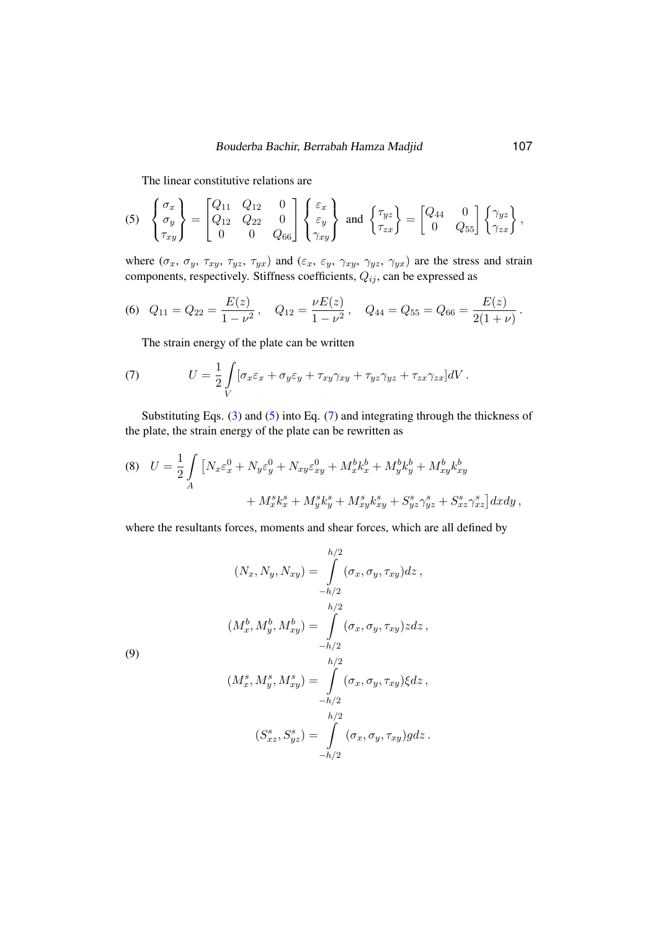The linear constitutive relations are

<span id="page-4-0"></span>
$$
(5) \begin{Bmatrix} \sigma_x \\ \sigma_y \\ \tau_{xy} \end{Bmatrix} = \begin{bmatrix} Q_{11} & Q_{12} & 0 \\ Q_{12} & Q_{22} & 0 \\ 0 & 0 & Q_{66} \end{bmatrix} \begin{Bmatrix} \varepsilon_x \\ \varepsilon_y \\ \gamma_{xy} \end{Bmatrix} \text{ and } \begin{Bmatrix} \tau_{yz} \\ \tau_{zx} \end{Bmatrix} = \begin{bmatrix} Q_{44} & 0 \\ 0 & Q_{55} \end{bmatrix} \begin{Bmatrix} \gamma_{yz} \\ \gamma_{zx} \end{Bmatrix},
$$

where  $(\sigma_x, \sigma_y, \tau_{xy}, \tau_{yz}, \tau_{yx})$  and  $(\varepsilon_x, \varepsilon_y, \gamma_{xy}, \gamma_{yz}, \gamma_{yx})$  are the stress and strain components, respectively. Stiffness coefficients,  $Q_{ij}$ , can be expressed as

<span id="page-4-3"></span>(6) 
$$
Q_{11} = Q_{22} = \frac{E(z)}{1 - \nu^2}
$$
,  $Q_{12} = \frac{\nu E(z)}{1 - \nu^2}$ ,  $Q_{44} = Q_{55} = Q_{66} = \frac{E(z)}{2(1 + \nu)}$ .

<span id="page-4-1"></span>The strain energy of the plate can be written

(7) 
$$
U = \frac{1}{2} \int\limits_V [\sigma_x \varepsilon_x + \sigma_y \varepsilon_y + \tau_{xy} \gamma_{xy} + \tau_{yz} \gamma_{yz} + \tau_{zx} \gamma_{zx}] dV.
$$

Substituting Eqs. [\(3\)](#page-3-1) and [\(5\)](#page-4-0) into Eq. [\(7\)](#page-4-1) and integrating through the thickness of the plate, the strain energy of the plate can be rewritten as

(8) 
$$
U = \frac{1}{2} \int_A \left[ N_x \varepsilon_x^0 + N_y \varepsilon_y^0 + N_{xy} \varepsilon_{xy}^0 + M_x^b k_x^b + M_y^b k_y^b + M_{xy}^b k_{xy}^b \right. \\ + M_x^s k_x^s + M_y^s k_y^s + M_{xy}^s k_{xy}^s + S_{yz}^s \gamma_{yz}^s + S_{xz}^s \gamma_{xz}^s \right] dx dy \,,
$$

where the resultants forces, moments and shear forces, which are all defined by

$$
(N_x, N_y, N_{xy}) = \int_{-h/2}^{h/2} (\sigma_x, \sigma_y, \tau_{xy}) dz,
$$
  
\n
$$
(M_x^b, M_y^b, M_{xy}^b) = \int_{-h/2}^{h/2} (\sigma_x, \sigma_y, \tau_{xy}) z dz,
$$
  
\n
$$
(M_x^s, M_y^s, M_{xy}^s) = \int_{-h/2}^{h/2} (\sigma_x, \sigma_y, \tau_{xy}) \xi dz,
$$
  
\n
$$
(S_{xz}^s, S_{yz}^s) = \int_{-h/2}^{h/2} (\sigma_x, \sigma_y, \tau_{xy}) g dz.
$$

<span id="page-4-2"></span>(9)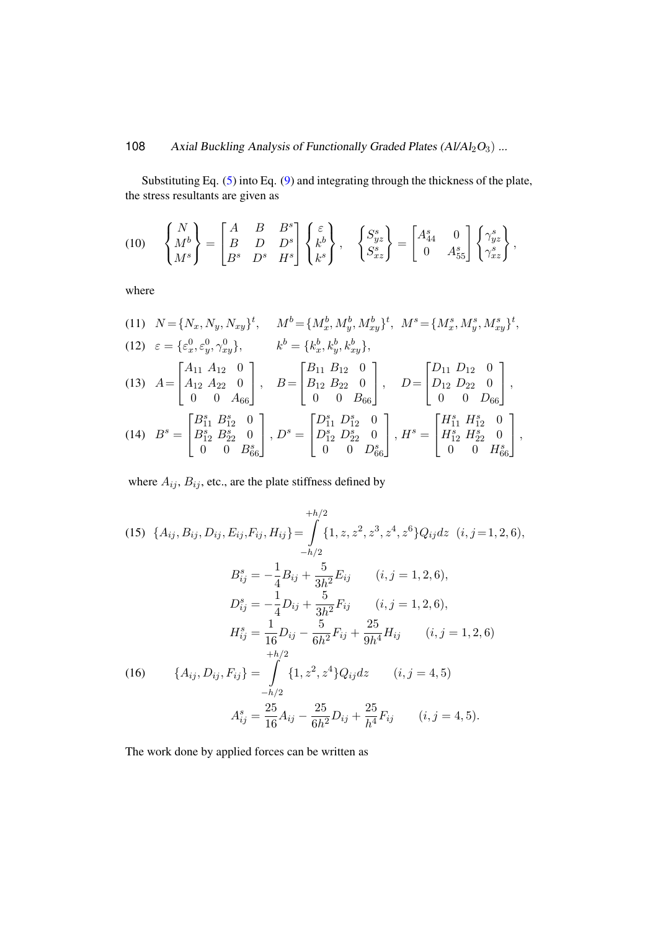Substituting Eq. [\(5\)](#page-4-0) into Eq. [\(9\)](#page-4-2) and integrating through the thickness of the plate, the stress resultants are given as

$$
(10) \quad \begin{Bmatrix} N \\ M^b \\ M^s \end{Bmatrix} = \begin{bmatrix} A & B & B^s \\ B & D & D^s \\ B^s & D^s & H^s \end{bmatrix} \begin{Bmatrix} \varepsilon \\ k^b \\ k^s \end{Bmatrix}, \quad \begin{Bmatrix} S_{yz}^s \\ S_{xz}^s \end{Bmatrix} = \begin{bmatrix} A_{44}^s & 0 \\ 0 & A_{55}^s \end{bmatrix} \begin{Bmatrix} \gamma_{yz}^s \\ \gamma_{xz}^s \end{Bmatrix},
$$

where

<span id="page-5-0"></span>(11) 
$$
N = \{N_x, N_y, N_{xy}\}^t
$$
,  $M^b = \{M_x^b, M_y^b, M_{xy}^b\}^t$ ,  $M^s = \{M_x^s, M_y^s, M_{xy}^s\}^t$ ,  
\n(12)  $\varepsilon = \{\varepsilon_x^0, \varepsilon_y^0, \gamma_{xy}^0\}$ ,  $k^b = \{k_x^b, k_y^b, k_{xy}^b\}$ ,  
\n(13)  $A = \begin{bmatrix} A_{11} & A_{12} & 0 \\ A_{12} & A_{22} & 0 \\ 0 & 0 & A_{66} \end{bmatrix}$ ,  $B = \begin{bmatrix} B_{11} & B_{12} & 0 \\ B_{12} & B_{22} & 0 \\ 0 & 0 & B_{66} \end{bmatrix}$ ,  $D = \begin{bmatrix} D_{11} & D_{12} & 0 \\ D_{12} & D_{22} & 0 \\ 0 & 0 & D_{66} \end{bmatrix}$ ,  
\n(14)  $B^s = \begin{bmatrix} B_{11}^s & B_{12}^s & 0 \\ B_{12}^s & B_{22}^s & 0 \\ 0 & 0 & B_{66}^s \end{bmatrix}$ ,  $D^s = \begin{bmatrix} D_{11}^s & D_{12}^s & 0 \\ D_{12}^s & D_{22}^s & 0 \\ 0 & 0 & D_{66}^s \end{bmatrix}$ ,  $H^s = \begin{bmatrix} H_{11}^s & H_{12}^s & 0 \\ H_{12}^s & H_{22}^s & 0 \\ 0 & 0 & H_{66}^s \end{bmatrix}$ ,

where  $A_{ij}$ ,  $B_{ij}$ , etc., are the plate stiffness defined by

<span id="page-5-2"></span>(15) 
$$
\{A_{ij}, B_{ij}, D_{ij}, E_{ij}, F_{ij}, H_{ij}\} = \int_{-h/2}^{h/2} \{1, z, z^2, z^3, z^4, z^6\} Q_{ij} dz \quad (i, j = 1, 2, 6),
$$

$$
B_{ij}^s = -\frac{1}{4} B_{ij} + \frac{5}{3h^2} E_{ij} \qquad (i, j = 1, 2, 6),
$$

$$
D_{ij}^s = -\frac{1}{4} D_{ij} + \frac{5}{3h^2} F_{ij} \qquad (i, j = 1, 2, 6),
$$

$$
H_{ij}^s = \frac{1}{16} D_{ij} - \frac{5}{6h^2} F_{ij} + \frac{25}{9h^4} H_{ij} \qquad (i, j = 1, 2, 6)
$$

$$
+h/2
$$

$$
\{A_{ij}, D_{ij}, F_{ij}\} = \int_{-h/2}^{h/2} \{1, z^2, z^4\} Q_{ij} dz \qquad (i, j = 4, 5)
$$

$$
A_{ij}^s = \frac{25}{16} A_{ij} - \frac{25}{6h^2} D_{ij} + \frac{25}{h^4} F_{ij} \qquad (i, j = 4, 5).
$$

<span id="page-5-1"></span>The work done by applied forces can be written as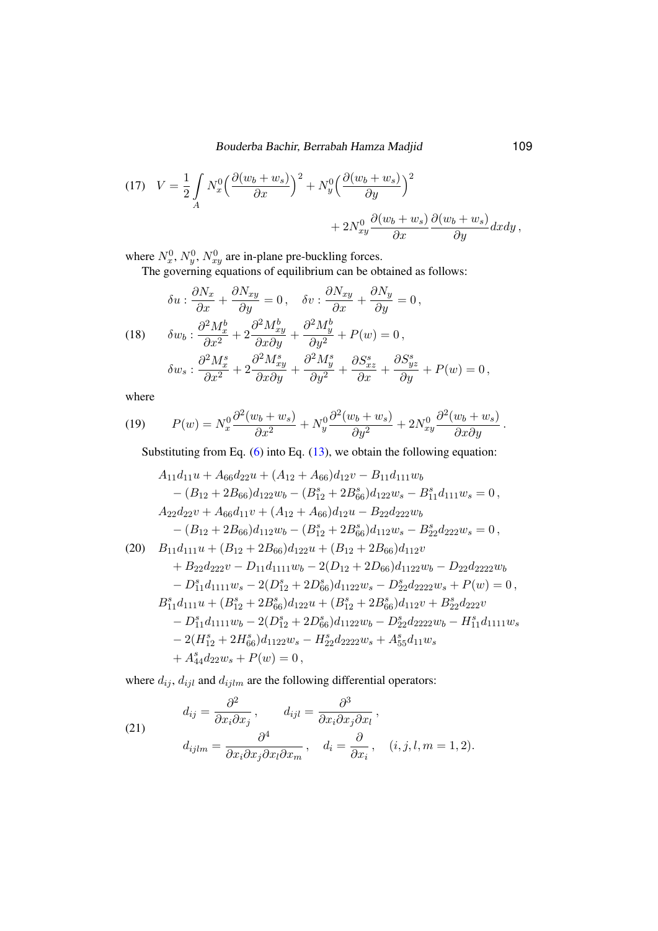(17) 
$$
V = \frac{1}{2} \int_A N_x^0 \left( \frac{\partial (w_b + w_s)}{\partial x} \right)^2 + N_y^0 \left( \frac{\partial (w_b + w_s)}{\partial y} \right)^2 + 2N_{xy}^0 \frac{\partial (w_b + w_s)}{\partial x} \frac{\partial (w_b + w_s)}{\partial y} dx dy,
$$

where  $N_x^0$ ,  $N_y^0$ ,  $N_{xy}^0$  are in-plane pre-buckling forces.

The governing equations of equilibrium can be obtained as follows:

(18) 
$$
\delta u : \frac{\partial N_x}{\partial x} + \frac{\partial N_{xy}}{\partial y} = 0, \quad \delta v : \frac{\partial N_{xy}}{\partial x} + \frac{\partial N_y}{\partial y} = 0,
$$
  

$$
\delta w_b : \frac{\partial^2 M_x^b}{\partial x^2} + 2 \frac{\partial^2 M_{xy}^b}{\partial x \partial y} + \frac{\partial^2 M_y^b}{\partial y^2} + P(w) = 0,
$$
  

$$
\delta w_s : \frac{\partial^2 M_x^s}{\partial x^2} + 2 \frac{\partial^2 M_{xy}^s}{\partial x \partial y} + \frac{\partial^2 M_y^s}{\partial y^2} + \frac{\partial S_{xz}^s}{\partial x} + \frac{\partial S_{yz}^s}{\partial y} + P(w) = 0,
$$

where

(19) 
$$
P(w) = N_x^0 \frac{\partial^2 (w_b + w_s)}{\partial x^2} + N_y^0 \frac{\partial^2 (w_b + w_s)}{\partial y^2} + 2N_{xy}^0 \frac{\partial^2 (w_b + w_s)}{\partial x \partial y}.
$$

Substituting from Eq. [\(6\)](#page-4-3) into Eq. [\(13\)](#page-5-0), we obtain the following equation:

$$
A_{11}d_{11}u + A_{66}d_{22}u + (A_{12} + A_{66})d_{12}v - B_{11}d_{111}w_b
$$
  
\n
$$
- (B_{12} + 2B_{66})d_{122}w_b - (B_{12}^s + 2B_{66}^s)d_{122}w_s - B_{11}^sd_{111}w_s = 0,
$$
  
\n
$$
A_{22}d_{22}v + A_{66}d_{11}v + (A_{12} + A_{66})d_{12}u - B_{22}d_{222}w_b
$$
  
\n
$$
- (B_{12} + 2B_{66})d_{112}w_b - (B_{12}^s + 2B_{66}^s)d_{112}w_s - B_{22}^sd_{222}w_s = 0,
$$
  
\n(20) 
$$
B_{11}d_{111}u + (B_{12} + 2B_{66})d_{122}u + (B_{12} + 2B_{66})d_{112}v
$$
  
\n
$$
+ B_{22}d_{222}v - D_{11}d_{1111}w_b - 2(D_{12} + 2D_{66})d_{1122}w_b - D_{22}d_{222}w_b
$$
  
\n
$$
- D_{11}^sd_{1111}w_s - 2(D_{12}^s + 2D_{66}^s)d_{1122}w_s - D_{22}^sd_{2222}w_s + P(w) = 0,
$$
  
\n
$$
B_{11}^sd_{111}u + (B_{12}^s + 2B_{66}^s)d_{122}u + (B_{12}^s + 2B_{66}^s)d_{112}v + B_{22}^sd_{222}v
$$
  
\n
$$
- D_{11}^sd_{1111}w_b - 2(D_{12}^s + 2D_{66}^s)d_{1122}w_b - D_{22}^sd_{2222}w_b - H_{11}^sd_{1111}w_s
$$
  
\n
$$
- 2(H_{12}^s + 2H_{66}^sd_{1122}w_s - H_{22}^sd_{2222}w_s + A_{55}^sd
$$

where  $d_{ij}$ ,  $d_{ijl}$  and  $d_{ijlm}$  are the following differential operators:

(21) 
$$
d_{ij} = \frac{\partial^2}{\partial x_i \partial x_j}, \qquad d_{ijl} = \frac{\partial^3}{\partial x_i \partial x_j \partial x_l},
$$

$$
d_{ijlm} = \frac{\partial^4}{\partial x_i \partial x_j \partial x_l \partial x_m}, \quad d_i = \frac{\partial}{\partial x_i}, \quad (i, j, l, m = 1, 2).
$$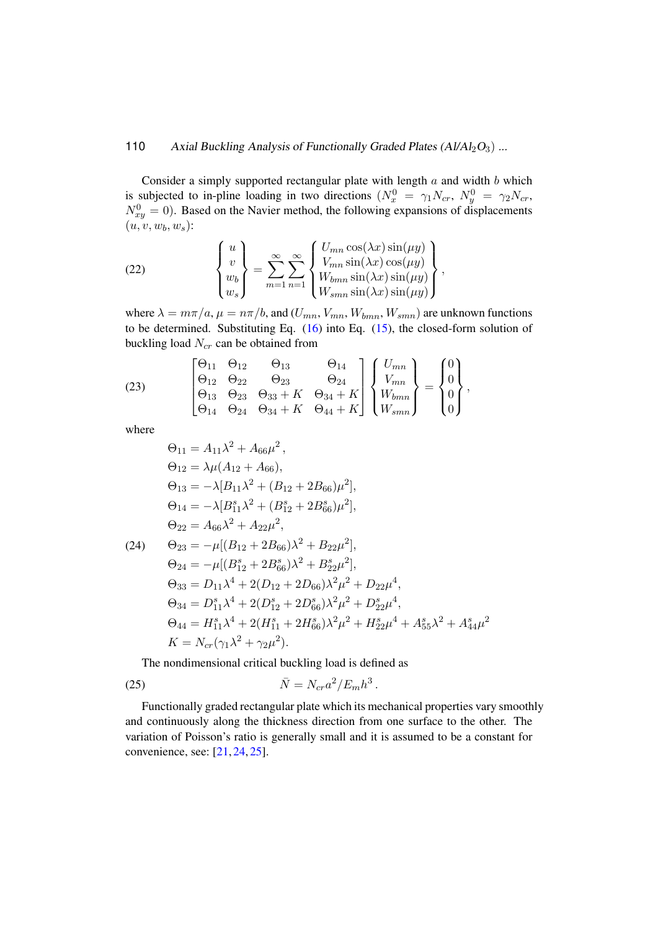Consider a simply supported rectangular plate with length  $a$  and width  $b$  which is subjected to in-pline loading in two directions  $(N_x^0 = \gamma_1 N_{cr}, N_y^0 = \gamma_2 N_{cr},$  $N_{xy}^0 = 0$ ). Based on the Navier method, the following expansions of displacements  $(u, v, w_b, w_s)$ :

(22) 
$$
\begin{Bmatrix} u \\ v \\ w_b \\ w_s \end{Bmatrix} = \sum_{m=1}^{\infty} \sum_{n=1}^{\infty} \begin{Bmatrix} U_{mn} \cos(\lambda x) \sin(\mu y) \\ V_{mn} \sin(\lambda x) \cos(\mu y) \\ W_{bmn} \sin(\lambda x) \sin(\mu y) \\ W_{smn} \sin(\lambda x) \sin(\mu y) \end{Bmatrix},
$$

where  $\lambda = m\pi/a$ ,  $\mu = n\pi/b$ , and  $(U_{mn}, V_{mn}, W_{bm}, W_{smn})$  are unknown functions to be determined. Substituting Eq.  $(16)$  into Eq.  $(15)$ , the closed-form solution of buckling load  $N_{cr}$  can be obtained from

(23) 
$$
\begin{bmatrix} \Theta_{11} & \Theta_{12} & \Theta_{13} & \Theta_{14} \\ \Theta_{12} & \Theta_{22} & \Theta_{23} & \Theta_{24} \\ \Theta_{13} & \Theta_{23} & \Theta_{33} + K & \Theta_{34} + K \\ \Theta_{14} & \Theta_{24} & \Theta_{34} + K & \Theta_{44} + K \end{bmatrix} \begin{Bmatrix} U_{mn} \\ V_{mn} \\ W_{bm} \\ W_{smn} \\ W_{smn} \end{Bmatrix} = \begin{Bmatrix} 0 \\ 0 \\ 0 \\ 0 \end{Bmatrix},
$$

where

$$
\Theta_{11} = A_{11}\lambda^2 + A_{66}\mu^2,
$$
  
\n
$$
\Theta_{12} = \lambda\mu(A_{12} + A_{66}),
$$
  
\n
$$
\Theta_{13} = -\lambda[B_{11}\lambda^2 + (B_{12} + 2B_{66})\mu^2],
$$
  
\n
$$
\Theta_{14} = -\lambda[B_{11}^s\lambda^2 + (B_{12}^s + 2B_{66}^s)\mu^2],
$$
  
\n
$$
\Theta_{22} = A_{66}\lambda^2 + A_{22}\mu^2,
$$
  
\n(24) 
$$
\Theta_{23} = -\mu[(B_{12} + 2B_{66})\lambda^2 + B_{22}\mu^2],
$$
  
\n
$$
\Theta_{24} = -\mu[(B_{12}^s + 2B_{66}^s)\lambda^2 + B_{22}^s\mu^2],
$$
  
\n
$$
\Theta_{33} = D_{11}\lambda^4 + 2(D_{12} + 2D_{66})\lambda^2\mu^2 + D_{22}\mu^4,
$$
  
\n
$$
\Theta_{34} = D_{11}^s\lambda^4 + 2(D_{12}^s + 2D_{66}^s)\lambda^2\mu^2 + D_{22}^s\mu^4,
$$
  
\n
$$
\Theta_{44} = H_{11}^s\lambda^4 + 2(H_{11}^s + 2H_{66}^s)\lambda^2\mu^2 + H_{22}^s\mu^4 + A_{55}^s\lambda^2 + A_{44}^s\mu^2
$$
  
\n
$$
K = N_{cr}(\gamma_1\lambda^2 + \gamma_2\mu^2).
$$

The nondimensional critical buckling load is defined as

$$
\bar{N} = N_{cr} a^2 / E_m h^3.
$$

Functionally graded rectangular plate which its mechanical properties vary smoothly and continuously along the thickness direction from one surface to the other. The variation of Poisson's ratio is generally small and it is assumed to be a constant for convenience, see: [\[21,](#page-13-16) [24,](#page-14-2) [25\]](#page-14-3).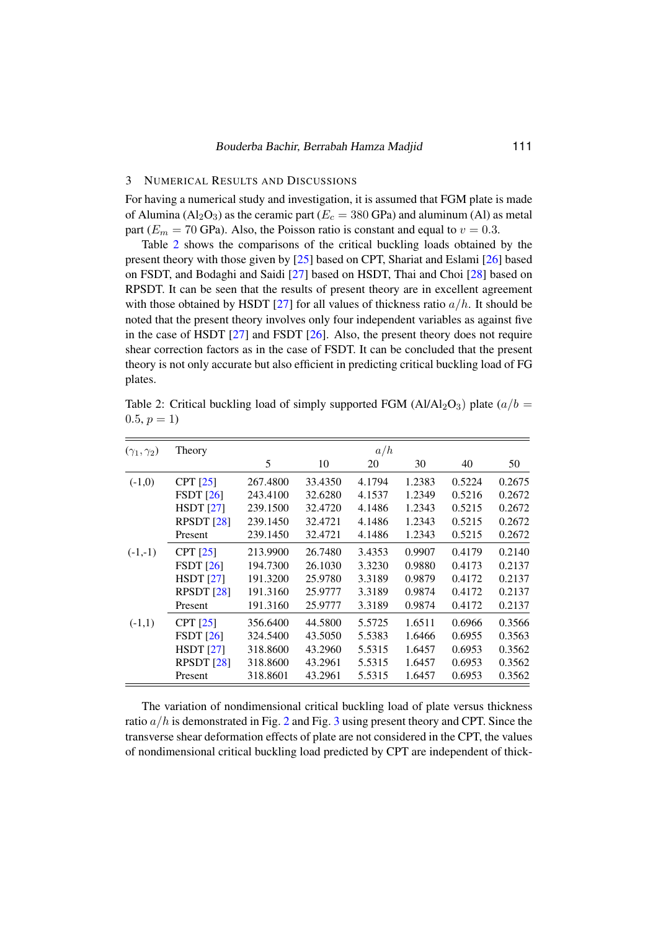## 3 NUMERICAL RESULTS AND DISCUSSIONS

For having a numerical study and investigation, it is assumed that FGM plate is made of Alumina ( $Al_2O_3$ ) as the ceramic part ( $E_c = 380$  GPa) and aluminum (Al) as metal part ( $E_m = 70$  GPa). Also, the Poisson ratio is constant and equal to  $v = 0.3$ .

Table [2](#page-8-0) shows the comparisons of the critical buckling loads obtained by the present theory with those given by [\[25\]](#page-14-3) based on CPT, Shariat and Eslami [\[26\]](#page-14-4) based on FSDT, and Bodaghi and Saidi [\[27\]](#page-14-5) based on HSDT, Thai and Choi [\[28\]](#page-14-6) based on RPSDT. It can be seen that the results of present theory are in excellent agreement with those obtained by HSDT [\[27\]](#page-14-5) for all values of thickness ratio  $a/h$ . It should be noted that the present theory involves only four independent variables as against five in the case of HSDT [\[27\]](#page-14-5) and FSDT [\[26\]](#page-14-4). Also, the present theory does not require shear correction factors as in the case of FSDT. It can be concluded that the present theory is not only accurate but also efficient in predicting critical buckling load of FG plates.

<span id="page-8-0"></span>Table 2: Critical buckling load of simply supported FGM (Al/Al<sub>2</sub>O<sub>3</sub>) plate ( $a/b =$  $0.5, p = 1$ 

| $(\gamma_1,\gamma_2)$ | Theory                | a/h      |         |        |        |        |        |  |
|-----------------------|-----------------------|----------|---------|--------|--------|--------|--------|--|
|                       |                       | 5        | 10      | 20     | 30     | 40     | 50     |  |
| $(-1,0)$              | <b>CPT</b> [25]       | 267.4800 | 33.4350 | 4.1794 | 1.2383 | 0.5224 | 0.2675 |  |
|                       | FSDT[26]              | 243.4100 | 32.6280 | 4.1537 | 1.2349 | 0.5216 | 0.2672 |  |
|                       | HSDT [27]             | 239.1500 | 32.4720 | 4.1486 | 1.2343 | 0.5215 | 0.2672 |  |
|                       | RPSDT <sub>[28]</sub> | 239.1450 | 32.4721 | 4.1486 | 1.2343 | 0.5215 | 0.2672 |  |
|                       | Present               | 239.1450 | 32.4721 | 4.1486 | 1.2343 | 0.5215 | 0.2672 |  |
| $(-1,-1)$             | $CPT$ [25]            | 213.9900 | 26.7480 | 3.4353 | 0.9907 | 0.4179 | 0.2140 |  |
|                       | FSDT[26]              | 194.7300 | 26.1030 | 3.3230 | 0.9880 | 0.4173 | 0.2137 |  |
|                       | <b>HSDT</b> [27]      | 191.3200 | 25.9780 | 3.3189 | 0.9879 | 0.4172 | 0.2137 |  |
|                       | RPSDT $[28]$          | 191.3160 | 25.9777 | 3.3189 | 0.9874 | 0.4172 | 0.2137 |  |
|                       | Present               | 191.3160 | 25.9777 | 3.3189 | 0.9874 | 0.4172 | 0.2137 |  |
| $(-1,1)$              | $CPT$ [25]            | 356.6400 | 44.5800 | 5.5725 | 1.6511 | 0.6966 | 0.3566 |  |
|                       | $FSDT$ [26]           | 324.5400 | 43.5050 | 5.5383 | 1.6466 | 0.6955 | 0.3563 |  |
|                       | HSDT [27]             | 318.8600 | 43.2960 | 5.5315 | 1.6457 | 0.6953 | 0.3562 |  |
|                       | RPSDT <sub>[28]</sub> | 318.8600 | 43.2961 | 5.5315 | 1.6457 | 0.6953 | 0.3562 |  |
|                       | Present               | 318.8601 | 43.2961 | 5.5315 | 1.6457 | 0.6953 | 0.3562 |  |

The variation of nondimensional critical buckling load of plate versus thickness ratio  $a/h$  is demonstrated in Fig. [2](#page-9-0) and Fig. [3](#page-9-1) using present theory and CPT. Since the transverse shear deformation effects of plate are not considered in the CPT, the values of nondimensional critical buckling load predicted by CPT are independent of thick-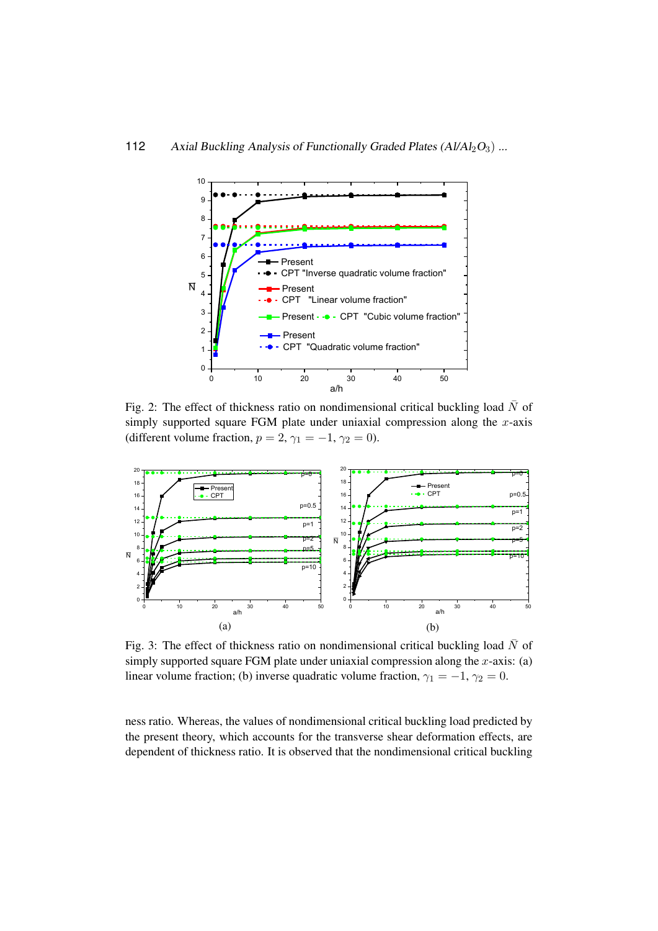<span id="page-9-0"></span>

 $F_{\text{eff}}$   $\rightarrow$   $\frac{1}{\mu}$   $\rightarrow$   $\frac{1}{\mu}$   $\rightarrow$   $\frac{1}{\mu}$   $\rightarrow$   $\frac{1}{\mu}$ Fig. 2: The effect of thickness ratio on nondimensional critical buckling load  $\bar{N}$  of simply supported square FGM plots under uniquial compression along the *x* exist Fig. 2: The effect of thickness ratio on nondimensional critical buckling load N of simply supported square FGM plate under uniaxial compression along the x-axis (different volume fraction,  $p = 2$ ,  $\gamma_1 = -1$ ,  $\gamma_2 = 0$ ).

<span id="page-9-1"></span>

Fig. 3: The effect of thickness ratio on nondimensional critical buckling load  $\bar{N}$  of simply supported square FGM plate under uniaxial compression along the  $x$ -axis: (a) linear volume fraction; (b) inverse quadratic volume fraction,  $\gamma_1 = -1$ ,  $\gamma_2 = 0$ .

a and the Universe  $\mu$  has been place of monotonic properties along the shock and the  $\mu$ hess ratio. Whereas, the values of hondifficional critical bucking load predicted by<br>the present theory, which accounts for the transverse shear deformation effects, are dependent of thickness ratio. It is observed that the nondimensional critical buckling ness ratio. Whereas, the values of nondimensional critical buckling load predicted by<br>the present theory, which accounts for the transverse chear deformation offects, are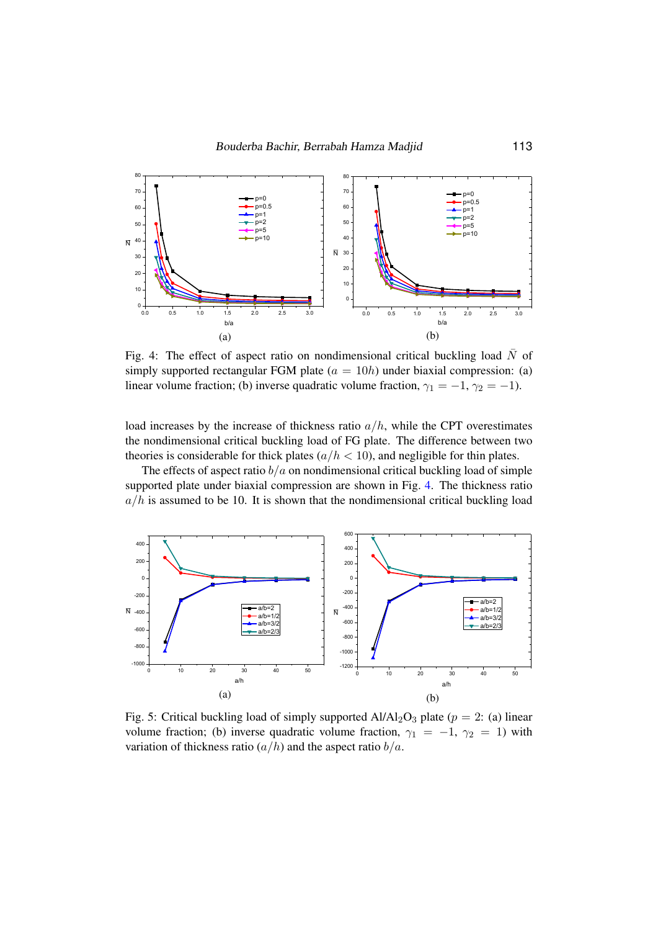<span id="page-10-0"></span>

simply supported rectangular FGM plate  $(a = 10h)$  under biaxial compression: (a) Fig. 4. The effect of aspect ratio on nondimensional critical buckling load of linear volume fraction; (b) inverse quadratic volume fraction,  $\gamma_1 = -1$ ,  $\gamma_2 = -1$ ). Fig. 4: The effect of aspect ratio on nondimensional critical buckling load  $\bar{N}$  of The effect of aspect ratio on nondimensional critical buckling load

load increases by the increase of thickness ratio  $a/h$ , while the CPT overestimates the nondimensional critical buckling load of FG plate. The difference between two  $f(x/h < 10)$ , and negligible for thin p<br>ordinancional critical buckling load of the nondmicrisional critical bucking load of PG plate. The directive between two theories is considerable for thick plates  $(a/h < 10)$ , and negligible for thin plates. ories is considerable for thick plates  $(a/h < 10)$ , and negligible for thin plate.

ories is considerable for thick plates ( $a/h < 10$ ), and negligible for thin plates.<br>The effects of aspect ratio  $b/a$  on nondimensional critical buckling load of simple  $a/h$  is assumed to be 10. It is shown that the nondimensional critical buckling load supported plate under biaxial compression are shown in Fig. 4. The thickness ratio supported plate under biaxial compression are shown in Fig. 4.

<span id="page-10-1"></span>

Fig. 5. Critical buckling load of simply supported Al/Al2O3 plate ( $p = 2$ , (a) linear<br>volume fraction; (b) inverse quadratic volume fraction,  $\gamma_1 = -1$ ,  $\gamma_2 = 1$ ) with variation of thickness ratio  $(a/h)$  and the aspect ratio  $b/a$ . Fig. 5: Critical buckling load of simply supported  $Al/Al_2O_3$  plate ( $p = 2$ : (a) linear volume fraction; (b) inverse quadratic volume fraction,  $\gamma_1 = -1$ ,  $\gamma_2 = 1$ ) with variation of thickness ratio  $\left(\frac{a}{h}\right)$  and the aspect ratio  $\frac{b}{a}$ .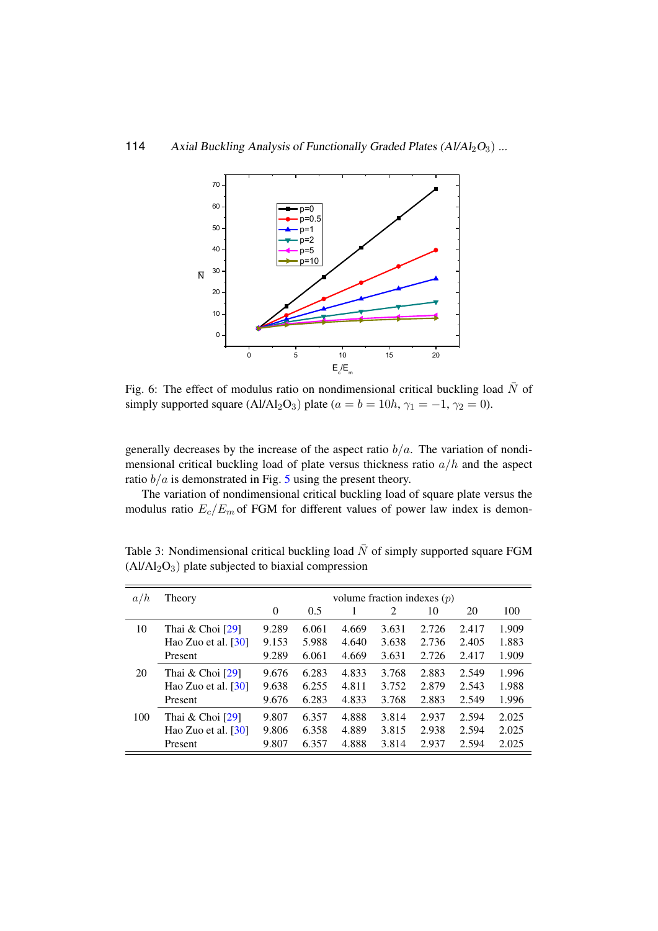<span id="page-11-0"></span>

Fig. 6: The effect of modulus ratio on nondimensional critical buckling load  $\bar{N}$  of simply supported square (Al/Al<sub>2</sub>O<sub>3</sub>) plate ( $a = b = 10h$ ,  $\gamma_1 = -1$ ,  $\gamma_2 = 0$ ).

generally decreases by the increase of the aspect ratio  $b/a$ . The variation of nondimensional critical buckling load of plate versus thickness ratio  $a/h$  and the aspect ratio  $b/a$  is demonstrated in Fig. [5](#page-10-1) using the present theory.

The variation of nondimensional critical buckling load of square plate versus the modulus ratio  $E_c/E_m$  of FGM for different values of power law index is demon-

| a/h | volume fraction indexes $(p)$<br>Theory |                  |       |       |       |       |       |       |
|-----|-----------------------------------------|------------------|-------|-------|-------|-------|-------|-------|
|     |                                         | $\boldsymbol{0}$ | 0.5   |       | 2     | 10    | 20    | 100   |
| 10  | Thai $&$ Choi $[29]$                    | 9.289            | 6.061 | 4.669 | 3.631 | 2.726 | 2.417 | 1.909 |
|     | Hao Zuo et al. $[30]$                   | 9.153            | 5.988 | 4.640 | 3.638 | 2.736 | 2.405 | 1.883 |
|     | Present                                 | 9.289            | 6.061 | 4.669 | 3.631 | 2.726 | 2.417 | 1.909 |
| 20  | Thai $&$ Choi [29]                      | 9.676            | 6.283 | 4.833 | 3.768 | 2.883 | 2.549 | 1.996 |
|     | Hao Zuo et al. $[30]$                   | 9.638            | 6.255 | 4.811 | 3.752 | 2.879 | 2.543 | 1.988 |
|     | Present                                 | 9.676            | 6.283 | 4.833 | 3.768 | 2.883 | 2.549 | 1.996 |
| 100 | Thai $&$ Choi [29]                      | 9.807            | 6.357 | 4.888 | 3.814 | 2.937 | 2.594 | 2.025 |
|     | Hao Zuo et al. $\lceil 30 \rceil$       | 9.806            | 6.358 | 4.889 | 3.815 | 2.938 | 2.594 | 2.025 |
|     | Present                                 | 9.807            | 6.357 | 4.888 | 3.814 | 2.937 | 2.594 | 2.025 |

<span id="page-11-1"></span>Table 3: Nondimensional critical buckling load  $\overline{N}$  of simply supported square FGM (A1/A1-O<sub>2</sub>) plate subjected to biaxial compression  $(AI/AI<sub>2</sub>O<sub>3</sub>)$  plate subjected to biaxial compression

obtained by the present theory with the present theory with the present those given by Thai and  $\Delta$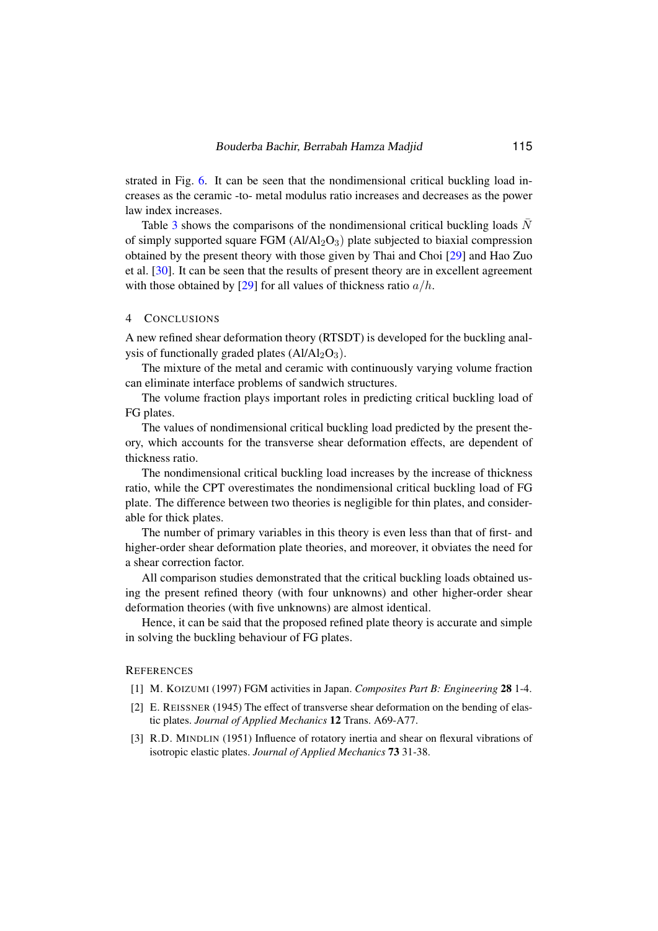strated in Fig. [6.](#page-11-0) It can be seen that the nondimensional critical buckling load increases as the ceramic -to- metal modulus ratio increases and decreases as the power law index increases.

Table [3](#page-11-1) shows the comparisons of the nondimensional critical buckling loads  $N$ of simply supported square FGM  $(AI/AI_2O_3)$  plate subjected to biaxial compression obtained by the present theory with those given by Thai and Choi [\[29\]](#page-14-7) and Hao Zuo et al. [\[30\]](#page-14-8). It can be seen that the results of present theory are in excellent agreement with those obtained by [\[29\]](#page-14-7) for all values of thickness ratio  $a/h$ .

#### 4 CONCLUSIONS

A new refined shear deformation theory (RTSDT) is developed for the buckling analysis of functionally graded plates  $(AI/AI_2O_3)$ .

The mixture of the metal and ceramic with continuously varying volume fraction can eliminate interface problems of sandwich structures.

The volume fraction plays important roles in predicting critical buckling load of FG plates.

The values of nondimensional critical buckling load predicted by the present theory, which accounts for the transverse shear deformation effects, are dependent of thickness ratio.

The nondimensional critical buckling load increases by the increase of thickness ratio, while the CPT overestimates the nondimensional critical buckling load of FG plate. The difference between two theories is negligible for thin plates, and considerable for thick plates.

The number of primary variables in this theory is even less than that of first- and higher-order shear deformation plate theories, and moreover, it obviates the need for a shear correction factor.

All comparison studies demonstrated that the critical buckling loads obtained using the present refined theory (with four unknowns) and other higher-order shear deformation theories (with five unknowns) are almost identical.

Hence, it can be said that the proposed refined plate theory is accurate and simple in solving the buckling behaviour of FG plates.

## <span id="page-12-0"></span>**REFERENCES**

- [1] M. KOIZUMI (1997) FGM activities in Japan. *Composites Part B: Engineering* 28 1-4.
- <span id="page-12-1"></span>[2] E. REISSNER (1945) The effect of transverse shear deformation on the bending of elastic plates. *Journal of Applied Mechanics* 12 Trans. A69-A77.
- <span id="page-12-2"></span>[3] R.D. MINDLIN (1951) Influence of rotatory inertia and shear on flexural vibrations of isotropic elastic plates. *Journal of Applied Mechanics* 73 31-38.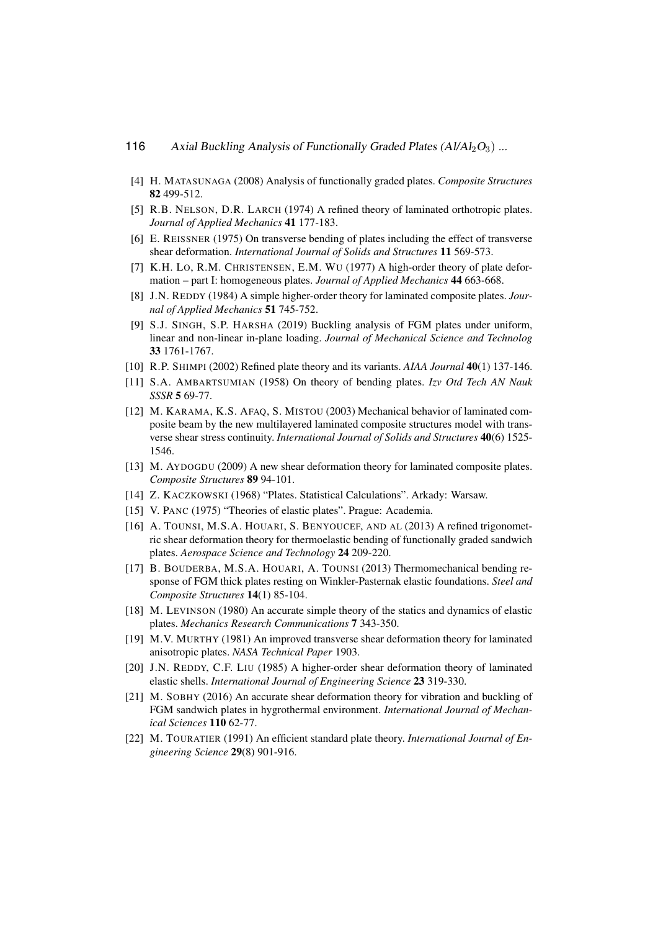- <span id="page-13-0"></span>[4] H. MATASUNAGA (2008) Analysis of functionally graded plates. *Composite Structures* 82 499-512.
- <span id="page-13-1"></span>[5] R.B. NELSON, D.R. LARCH (1974) A refined theory of laminated orthotropic plates. *Journal of Applied Mechanics* 41 177-183.
- <span id="page-13-10"></span>[6] E. REISSNER (1975) On transverse bending of plates including the effect of transverse shear deformation. *International Journal of Solids and Structures* 11 569-573.
- [7] K.H. LO, R.M. CHRISTENSEN, E.M. WU (1977) A high-order theory of plate deformation – part I: homogeneous plates. *Journal of Applied Mechanics* 44 663-668.
- <span id="page-13-2"></span>[8] J.N. REDDY (1984) A simple higher-order theory for laminated composite plates. *Journal of Applied Mechanics* 51 745-752.
- <span id="page-13-3"></span>[9] S.J. SINGH, S.P. HARSHA (2019) Buckling analysis of FGM plates under uniform, linear and non-linear in-plane loading. *Journal of Mechanical Science and Technolog* 33 1761-1767.
- <span id="page-13-4"></span>[10] R.P. SHIMPI (2002) Refined plate theory and its variants. *AIAA Journal* 40(1) 137-146.
- <span id="page-13-5"></span>[11] S.A. AMBARTSUMIAN (1958) On theory of bending plates. *Izv Otd Tech AN Nauk SSSR* 5 69-77.
- <span id="page-13-6"></span>[12] M. KARAMA, K.S. AFAQ, S. MISTOU (2003) Mechanical behavior of laminated composite beam by the new multilayered laminated composite structures model with transverse shear stress continuity. *International Journal of Solids and Structures* 40(6) 1525- 1546.
- <span id="page-13-7"></span>[13] M. AYDOGDU (2009) A new shear deformation theory for laminated composite plates. *Composite Structures* 89 94-101.
- <span id="page-13-8"></span>[14] Z. KACZKOWSKI (1968) "Plates. Statistical Calculations". Arkady: Warsaw.
- <span id="page-13-9"></span>[15] V. PANC (1975) "Theories of elastic plates". Prague: Academia.
- <span id="page-13-11"></span>[16] A. TOUNSI, M.S.A. HOUARI, S. BENYOUCEF, AND AL (2013) A refined trigonometric shear deformation theory for thermoelastic bending of functionally graded sandwich plates. *Aerospace Science and Technology* 24 209-220.
- <span id="page-13-12"></span>[17] B. BOUDERBA, M.S.A. HOUARI, A. TOUNSI (2013) Thermomechanical bending response of FGM thick plates resting on Winkler-Pasternak elastic foundations. *Steel and Composite Structures* 14(1) 85-104.
- <span id="page-13-13"></span>[18] M. LEVINSON (1980) An accurate simple theory of the statics and dynamics of elastic plates. *Mechanics Research Communications* 7 343-350.
- <span id="page-13-14"></span>[19] M.V. MURTHY (1981) An improved transverse shear deformation theory for laminated anisotropic plates. *NASA Technical Paper* 1903.
- <span id="page-13-15"></span>[20] J.N. REDDY, C.F. LIU (1985) A higher-order shear deformation theory of laminated elastic shells. *International Journal of Engineering Science* 23 319-330.
- <span id="page-13-16"></span>[21] M. SOBHY (2016) An accurate shear deformation theory for vibration and buckling of FGM sandwich plates in hygrothermal environment. *International Journal of Mechanical Sciences* 110 62-77.
- <span id="page-13-17"></span>[22] M. TOURATIER (1991) An efficient standard plate theory. *International Journal of Engineering Science* 29(8) 901-916.